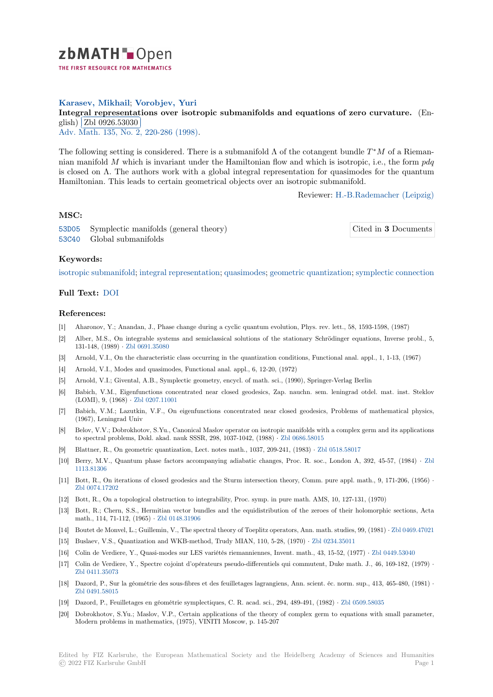

# **Karasev, Mikhail**; **Vorobjev, Yuri**

[I](https://zbmath.org/)ntegral representations over isotropic submanifolds and equations of zero curvature. (En-<br>
which all  $\cos \theta$  represents glish) Zbl 0926.53030

Adv. Math. 135, No. 2, 220-286 (1998).

[The following setting is considered. There is a submanifold](https://zbmath.org/0926.53030) Λ of the cotangent bundle *T <sup>∗</sup>M* of a Riemannian [manifold](https://zbmath.org/0926.53030) *M* which is invariant under the Hamiltonian flow and which is isotropic, i.e., the form *pdq* [is closed on](https://zbmath.org/journals/?q=se:290)  $\Lambda$ . [The authors work with](https://zbmath.org/?q=in:51507) a global integral representation for quasimodes for the quantum Hamiltonian. This leads to certain geometrical objects over an isotropic submanifold.

Reviewer: H.-B.Rademacher (Leipzig)

### **MSC:**

53D05 Symplectic manifolds (general theory) 53C40 Global submanifolds

Cited in **3** [Documents](https://zbmath.org/authors/?q=rademacher.hans-bert)

#### **Keywords:**

[isotrop](https://zbmath.org/classification/?q=cc:53D05)ic submanifold; integral representation; quasimodes; geometric quantization; [symplectic connection](https://zbmath.org/?q=rf:0926.53030|1211554)

## **Full Text:** DOI

#### **[References:](https://zbmath.org/?q=ut:isotropic+submanifold)**

- [1] Aharonov, Y.; Anandan, J., Phase change during a cyclic quantum evolution, Phys. rev. lett., 58, 1593-1598, (1987)
- [2] Alber, M[.S., O](https://dx.doi.org/10.1006/aima.1997.1703)n integrable systems and semiclassical solutions of the stationary Schrödinger equations, Inverse probl., 5, 131-148, (1989) *·* Zbl 0691.35080
- [3] Arnold, V.I., On the characteristic class occurring in the quantization conditions, Functional anal. appl., 1, 1-13, (1967)
- [4] Arnold, V.I., Modes and quasimodes, Functional anal. appl., 6, 12-20, (1972)
- [5] Arnold, V.I.; Givental, A.B., Symplectic geometry, encycl. of math. sci., (1990), Springer-Verlag Berlin
- [6] Babich, V.M., E[igenfunctions co](https://zbmath.org/0691.35080)ncentrated near closed geodesics, Zap. nauchn. sem. leningrad otdel. mat. inst. Steklov (LOMI), 9, (1968) *·* Zbl 0207.11001
- [7] Babich, V.M.; Lazutkin, V.F., On eigenfunctions concentrated near closed geodesics, Problems of mathematical physics, (1967), Leningrad Univ
- [8] Belov, V.V.; Dobrokhotov, S.Yu., Canonical Maslov operator on isotropic manifolds with a complex germ and its applications to spectral problems[, Dokl. akad. na](https://zbmath.org/0207.11001)uk SSSR, 298, 1037-1042, (1988) *·* Zbl 0686.58015
- [9] Blattner, R., On geometric quantization, Lect. notes math., 1037, 209-241, (1983) *·* Zbl 0518.58017
- [10] Berry, M.V., Quantum phase factors accompanying adiabatic changes, Proc. R. soc., London A, 392, 45-57, (1984) *·* Zbl 1113.81306
- [11] Bott, R., On iterations of closed geodesics and the Sturm intersection [theory, Comm.](https://zbmath.org/0686.58015) pure appl. math., 9, 171-206, (1956) *·* Zbl 0074.17202
- [12] Bott, R., On a topological obstruction to integrability, Proc. symp. in pure math. AMS, 10, 127-131, (1970)
- [13] [Bott, R.; C](https://zbmath.org/1113.81306)hern, S.S., Hermitian vector bundles and the equidistribution of the zeroes of their holomorphic sections, Acta math., 114, 71-112, (1965) *·* Zbl 0148.31906
- [14] [Boutet de Monv](https://zbmath.org/0074.17202)el, L.; Guillemin, V., The spectral theory of Toeplitz operators, Ann. math. studies, 99, (1981) *·* Zbl 0469.47021
- [15] Buslaev, V.S., Quantization and WKB-method, Trudy MIAN, 110, 5-28, (1970) *·* Zbl 0234.35011
- [16] Colin de Verdiere, Y., Quasi-modes sur LES variétés riemanniennes, Invent. math., 43, 15-52, (1977) *·* Zbl 0449.53040
- [17] Colin de Verdiere, Y., Spect[re cojoint d'opé](https://zbmath.org/0148.31906)rateurs pseudo-differentiels qui commutent, Duke math. J., 46, 1[69-182, \(1979\)](https://zbmath.org/0469.47021) *·* Zbl 0411.35073
- [18] Dazord, P., Sur la géométrie des sous-fibres et des feuilletages lagrangiens, Ann.s[cient. éc. norm.](https://zbmath.org/0234.35011) sup., 413, 465-480, (1981) *·* Zbl 0491.58015
- [19] Dazord, P., Feuilletages en géométrie symplectiques, C. R. acad. sci., 294, 489-491, (1982) *·* Zbl 0509.58035
- [20] [Dobrokhotov, S](https://zbmath.org/0411.35073).Yu.; Maslov, V.P., Certain applications of the theory of complex germ to equations with small parameter, Modern problems in mathematics, (1975), VINITI Moscow, p. 145-207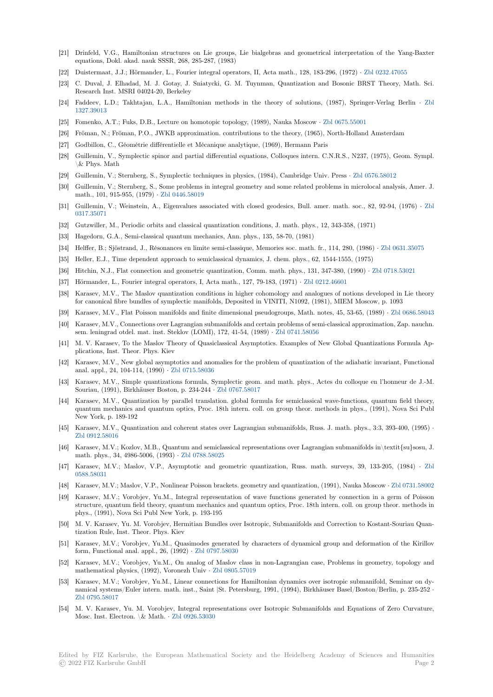- [21] Drinfeld, V.G., Hamiltonian structures on Lie groups, Lie bialgebras and geometrical interpretation of the Yang-Baxter equations, Dokl. akad. nauk SSSR, 268, 285-287, (1983)
- [22] Duistermaat, J.J.; Hörmander, L., Fourier integral operators, II, Acta math., 128, 183-296, (1972) *·* Zbl 0232.47055
- [23] C. Duval, J. Elhadad, M. J. Gotay, J. Sniatycki, G. M. Tuynman, Quantization and Bosonic BRST Theory, Math. Sci. Research Inst. MSRI 04024-20, Berkeley
- [24] Faddeev, L.D.; Takhtajan, L.A., Hamiltonian methods in the theory of solutions, (1987), Springer-Verlag Berlin *·* Zbl 1327.39013
- [25] Fomenko, A.T.; Fuks, D.B., Lecture on homotopic topology, (1989), Nauka Moscow *·* Zbl 0675.55001
- [26] Fröman, N.; Fröman, P.O., JWKB approximation. contributions to the theory, (1965), North-Holland Amsterdam
- [27] Godbillon, C., Géométrie différentielle et Mécanique analytique, (1969), Hermann Paris
- [28] [Guillemin,](https://zbmath.org/1327.39013) V., Symplectic spinor and partial differential equations, Colloques intern. C.N.R.S., N237, (1975), Geom. Sympl. \& Phys. Math
- [29] Guillemin, V.; Sternberg, S., Symplectic techniques in physics, (1984), Cambridge Univ. Press *·* Zbl 0576.58012
- [30] Guillemin, V.; Sternberg, S., Some problems in integral geometry and some related problems in microlocal analysis, Amer. J. math., 101, 915-955, (1979) *·* Zbl 0446.58019
- [31] Guillemin, V.; Weinstein, A., Eigenvalues associated with closed geodesics, Bull. amer. math. soc., 82, 92-94, (1976) *·* Zbl 0317.35071
- [32] Gutzwiller, M., Periodic orbits and classical quantization conditions, J. math. phys., 12, 343-358, (1971)
- [33] Hagedorn, G.A., Semi-classic[al quantum mec](https://zbmath.org/0446.58019)hanics, Ann. phys., 135, 58-70, (1981)
- [34] Helffer, B.; Sjöstrand, J., Résonances en limite semi-classique, Memories soc. math. fr., 114, 280, (1986) *·* Zbl 0631.35075
- [35] [Heller, E.J.](https://zbmath.org/0317.35071), Time dependent approach to semiclassical dynamics, J. chem. phys., 62, 1544-1555, (1975)
- [36] Hitchin, N.J., Flat connection and geometric quantization, Comm. math. phys., 131, 347-380, (1990) *·* Zbl 0718.53021
- [37] Hörmander, L., Fourier integral operators, I, Acta math., 127, 79-183, (1971) *·* Zbl 0212.46601
- [38] Karasev, M.V., The Maslov quantization conditions in higher cohomology and analogues of notions devel[oped in Lie the](https://zbmath.org/0631.35075)ory for canonical fibre bundles of symplectic manifolds, Deposited in VINITI, N1092, (1981), MIEM Moscow, p. 1093
- [39] Karasev, M.V., Flat Poisson manifolds and finite dimensional pseudogroups, Math. notes, 45, 53-65, (1989) *·* [Zbl 0686](https://zbmath.org/0718.53021).58043
- [40] Karasev, M.V., Connections over Lagrangian submanifolds and certain problems [of semi-classica](https://zbmath.org/0212.46601)l approximation, Zap. nauchn. sem. leningrad otdel. mat. inst. Steklov (LOMI), 172, 41-54, (1989) *·* Zbl 0741.58056
- [41] M. V. Karasev, To the Maslov Theory of Quasiclassical Asymptotics. Examples of New Global Quantizations Formula Applications, Inst. Theor. Phys. Kiev
- [42] Karasev, M.V., New global asymptotics and anomalies for the problem of quantization of the adiabatic invariant, Functional anal. appl., 24, 104-114, (1990) *·* Zbl 0715.58036
- [43] Karasev, M.V., Simple quantizations formula, Symplectic geom. and math. phys., Actes du colloque en l'honneur de J.-M. Souriau, (1991), Birkhäuser Boston, p. 234-244 *·* Zbl 0767.58017
- [44] Karasev, M.V., Quantization by parallel translation. global formula for semiclassical wave-functions, quantum field theory, quantum mechanics and quantu[m optics, Proc.](https://zbmath.org/0715.58036) 18th intern. coll. on group theor. methods in phys., (1991), Nova Sci Publ New York, p. 189-192
- [45] Karasev, M.V., Quantization and coherent state[s over Lagrangia](https://zbmath.org/0767.58017)n submanifolds, Russ. J. math. phys., 3:3, 393-400, (1995) *·* Zbl 0912.58016
- [46] Karasev, M.V.; Kozlov, M.B., Quantum and semiclassical representations over Lagrangian submanifolds in\textit{su}sosu, J. math. phys., 34, 4986-5006, (1993) *·* Zbl 0788.58025
- [47] Karasev, M.V.; Maslov, V.P., Asymptotic and geometric quantization, Russ. math. surveys, 39, 133-205, (1984) *·* Zbl [0588.58031](https://zbmath.org/0912.58016)
- [48] Karasev, M.V.; Maslov, V.P., Nonlinear Poisson brackets. geometry and quantization, (1991), Nauka Moscow *·* Zbl 0731.58002
- [49] Karasev, M.V.; Vorobjev, Yu.M., I[ntegral represen](https://zbmath.org/0788.58025)tation of wave functions generated by connection in a germ of Poisson structure, quantum field theory, quantum mechanics and quantum optics, Proc. 18th intern. coll. on group theor. method[s in](https://zbmath.org/0588.58031) [phys., \(1991](https://zbmath.org/0588.58031)), Nova Sci Publ New York, p. 193-195
- [50] M. V. Karasev, Yu. M. Vorobjev, Hermitian Bundles over Isotropic, Submanifolds and Correction to Kostant[-Souriau Quan](https://zbmath.org/0731.58002)tization Rule, Inst. Theor. Phys. Kiev
- [51] Karasev, M.V.; Vorobjev, Yu.M., Quasimodes generated by characters of dynamical group and deformation of the Kirillov form, Functional anal. appl., 26, (1992) *·* Zbl 0797.58030
- [52] Karasev, M.V.; Vorobjev, Yu.M., On analog of Maslov class in non-Lagrangian case, Problems in geometry, topology and mathematical physics, (1992), Voronezh Univ *·* Zbl 0805.57019
- [53] Karasev, M.V.; Vorobjev, Yu.M., Linear connections for Hamiltonian dynamics over isotropic submanifold, Seminar on dynamical systems/Euler intern. math. inst[., Saint |St. Pet](https://zbmath.org/0797.58030)ersburg, 1991, (1994), Birkhäuser Basel/Boston/Berlin, p. 235-252 *·* Zbl 0795.58017
- [54] M. V. Karasev, Yu. M. Vorobjev, Integral rep[resentations ov](https://zbmath.org/0805.57019)er Isotropic Submanifolds and Equations of Zero Curvature, Mosc. Inst. Electron. \& Math. *·* Zbl 0926.53030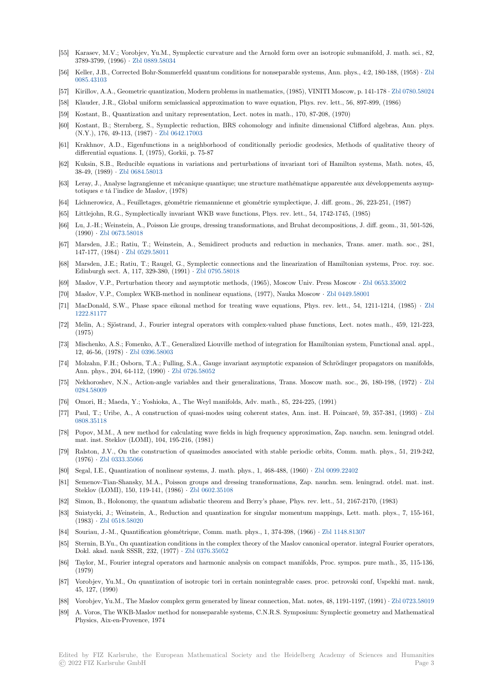- [55] Karasev, M.V.; Vorobjev, Yu.M., Symplectic curvature and the Arnold form over an isotropic submanifold, J. math. sci., 82, 3789-3799, (1996) *·* Zbl 0889.58034
- [56] Keller, J.B., Corrected Bohr-Sommerfeld quantum conditions for nonseparable systems, Ann. phys., 4:2, 180-188, (1958) *·* Zbl 0085.43103
- [57] Kirillov, A.A., Geometric quantization, Modern problems in mathematics, (1985), VINITI Moscow, p. 141-178 *·* Zbl 0780.58024
- [58] Klauder, J.R., Glob[al uniform semi](https://zbmath.org/0889.58034)classical approximation to wave equation, Phys. rev. lett., 56, 897-899, (1986)
- [59] Kostant, B., Quantization and unitary representation, Lect. notes in math., 170, 87-208, (1970)
- [60] [Kostant, B](https://zbmath.org/0085.43103).; Sternberg, S., Symplectic reduction, BRS cohomology and infinite dimensional Clifford algebr[as, Ann. phys.](https://zbmath.org/0780.58024) (N.Y.), 176, 49-113, (1987) *·* Zbl 0642.17003
- [61] Krakhnov, A.D., Eigenfunctions in a neighborhood of conditionally periodic geodesics, Methods of qualitative theory of differential equations. I, (1975), Gorkii, p. 75-87
- [62] Kuksin, S.B., Reducible equations in variations and perturbations of invariant tori of Hamilton systems, Math. notes, 45, 38-49, (1989) *·* Zbl 0684.580[13](https://zbmath.org/0642.17003)
- [63] Leray, J., Analyse lagrangienne et mécanique quantique; une structure mathématique apparentée aux développements asymptotiques e tá l'indice de Maslov, (1978)
- [64] Lichnerowicz, A., Feuilletages, géométrie riemannienne et géométrie symplectique, J. diff. geom., 26, 223-251, (1987)
- [65] Littlejohn, R.[G., Symplecticall](https://zbmath.org/0684.58013)y invariant WKB wave functions, Phys. rev. lett., 54, 1742-1745, (1985)
- [66] Lu, J.-H.; Weinstein, A., Poisson Lie groups, dressing transformations, and Bruhat decompositions, J. diff. geom., 31, 501-526, (1990) *·* Zbl 0673.58018
- [67] Marsden, J.E.; Ratiu, T.; Weinstein, A., Semidirect products and reduction in mechanics, Trans. amer. math. soc., 281, 147-177, (1984) *·* Zbl 0529.58011
- [68] Marsden, J.E.; Ratiu, T.; Raugel, G., Symplectic connections and the linearization of Hamiltonian systems, Proc. roy. soc. Edinbur[gh sect. A, 117,](https://zbmath.org/0673.58018) 329-380, (1991) *·* Zbl 0795.58018
- [69] Maslov, V.P., Perturbation theory and asymptotic methods, (1965), Moscow Univ. Press Moscow *·* Zbl 0653.35002
- [70] Maslov, V.P., Co[mplex WKB-me](https://zbmath.org/0529.58011)thod in nonlinear equations, (1977), Nauka Moscow *·* Zbl 0449.58001
- [71] MacDonald, S.W., Phase space eikonal [method for trea](https://zbmath.org/0795.58018)ting wave equations, Phys. rev. lett., 54, 1211-1214, (1985) *·* Zbl 1222.81177
- [72] Melin, A.; Sjöstrand, J., Fourier integral operators with complex-valued phase functions, Lect. n[otes math., 459,](https://zbmath.org/0653.35002) 121-223, (1975)
- [73] Mischenko, A.S.; Fomenko, A.T., Generalized Liouville method of integration for Hamiltonian system, Functional anal. a[ppl.,](https://zbmath.org/1222.81177) [12, 46-56, \(](https://zbmath.org/1222.81177)1978) *·* Zbl 0396.58003
- [74] Molzahn, F.H.; Osborn, T.A.; Fulling, S.A., Gauge invariant asymptotic expansion of Schrödinger propagators on manifolds, Ann. phys., 204, 64-112, (1990) *·* Zbl 0726.58052
- [75] Nekhoroshev, N.N., Action-angle variables and their generalizations, Trans. Moscow math. soc., 26, 180-198, (1972) *·* Zbl 0284.58009
- [76] Omori, H.; Maeda, Y.; Yoshioka, A., The Weyl manifolds, Adv. math., 85, 224-225, (1991)
- [77] Paul, T.; Uribe, A., A constructi[on of quasi-mod](https://zbmath.org/0726.58052)es using coherent states, Ann. inst. H. Poincaré, 59, 357-381, (1993) *·* Zbl 0808.35118
- [78] [Popov, M.M](https://zbmath.org/0284.58009)., A new method for calculating wave fields in high frequency approximation, Zap. nauchn. sem. leningrad otdel. mat. inst. Steklov (LOMI), 104, 195-216, (1981)
- [79] Ralston, J.V., On the construction of quasimodes associated with stable periodic orbits, Comm. math. phys., 51, 219-[242,](https://zbmath.org/0808.35118) [\(1976\)](https://zbmath.org/0808.35118) *·* Zbl 0333.35066
- [80] Segal, I.E., Quantization of nonlinear systems, J. math. phys., 1, 468-488, (1960) *·* Zbl 0099.22402
- [81] Semenov-Tian-Shansky, M.A., Poisson groups and dressing transformations, Zap. nauchn. sem. leningrad. otdel. mat. inst. Steklov (LOMI), 150, 119-141, (1986) *·* Zbl 0602.35108
- [82] Simon, [B., Holonomy, th](https://zbmath.org/0333.35066)e quantum adiabatic theorem and Berry's phase, Phys. rev. lett., 51, 2167-2170, (1983)
- [83] Sniatycki, J.; Weinstein, A., Reduction and quantization for singular momentum [mappings, Lett](https://zbmath.org/0099.22402). math. phys., 7, 155-161, (1983) *·* Zbl 0518.58020
- [84] Souriau, J.-M., Quantification géométri[que, Comm. ma](https://zbmath.org/0602.35108)th. phys., 1, 374-398, (1966) *·* Zbl 1148.81307
- [85] Sternin, B.Yu., On quantization conditions in the complex theory of the Maslov canonical operator. integral Fourier operators, Dokl. akad. nauk SSSR, 232, (1977) *·* Zbl 0376.35052
- [86] Taylor, [M., Fourier inte](https://zbmath.org/0518.58020)gral operators and harmonic analysis on compact manifolds, Proc. sympos. pure math., 35, 115-136, (1979)
- [87] Vorobjev, Yu.M., On quantization of isotropic tori in certain nonintegrable cases. proc. petrovski conf, Uspekhi mat. nauk, 45, 127, (1990)
- [88] Vorobjev, Yu.M., The Maslov complex germ generated by linear connection, Mat. notes, 48, 1191-1197, (1991) *·* Zbl 0723.58019
- [89] A. Voros, The WKB-Maslov method for nonseparable systems, C.N.R.S. Symposium: Symplectic geometry and Mathematical Physics, Aix-en-Provence, 1974